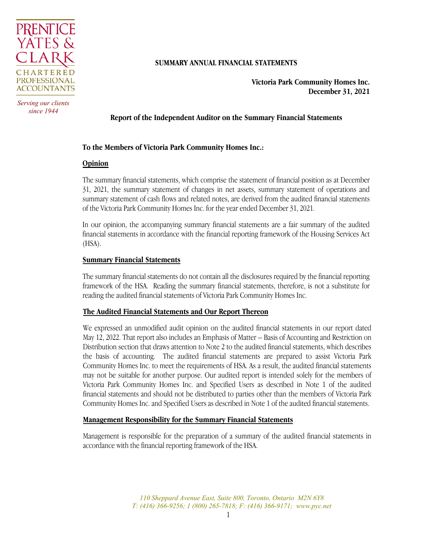

*Serving our clients since 1944*

## **SUMMARY ANNUAL FINANCIAL STATEMENTS**

**Victoria Park Community Homes Inc. December 31, 2021**

## **Report of the Independent Auditor on the Summary Financial Statements**

## **To the Members of Victoria Park Community Homes Inc.:**

#### **Opinion**

The summary financial statements, which comprise the statement of financial position as at December 31, 2021, the summary statement of changes in net assets, summary statement of operations and summary statement of cash flows and related notes, are derived from the audited financial statements of the Victoria Park Community Homes Inc. for the year ended December 31, 2021.

In our opinion, the accompanying summary financial statements are a fair summary of the audited financial statements in accordance with the financial reporting framework of the Housing Services Act (HSA).

## **Summary Financial Statements**

The summary financial statements do not contain all the disclosures required by the financial reporting framework of the HSA. Reading the summary financial statements, therefore, is not a substitute for reading the audited financial statements of Victoria Park Community Homes Inc.

## **The Audited Financial Statements and Our Report Thereon**

We expressed an unmodified audit opinion on the audited financial statements in our report dated May 12, 2022. That report also includes an Emphasis of Matter – Basis of Accounting and Restriction on Distribution section that draws attention to Note 2 to the audited financial statements, which describes the basis of accounting. The audited financial statements are prepared to assist Victoria Park Community Homes Inc. to meet the requirements of HSA. As a result, the audited financial statements may not be suitable for another purpose. Our audited report is intended solely for the members of Victoria Park Community Homes Inc. and Specified Users as described in Note 1 of the audited financial statements and should not be distributed to parties other than the members of Victoria Park Community Homes Inc. and Specified Users as described in Note 1 of the audited financial statements.

#### **Management Responsibility for the Summary Financial Statements**

Management is responsible for the preparation of a summary of the audited financial statements in accordance with the financial reporting framework of the HSA.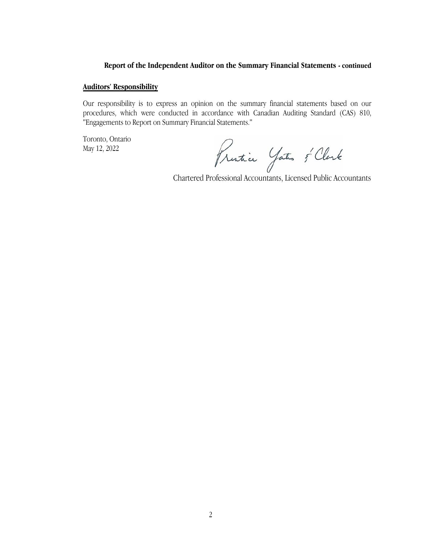## **Report of the Independent Auditor on the Summary Financial Statements - continued**

#### **Auditors' Responsibility**

Our responsibility is to express an opinion on the summary financial statements based on our procedures, which were conducted in accordance with Canadian Auditing Standard (CAS) 810, "Engagements to Report on Summary Financial Statements."

Toronto, Ontario May 12, 2022

Frantie Jates & Clark<br>Chartered Professional Accountants, Licensed Public Accountants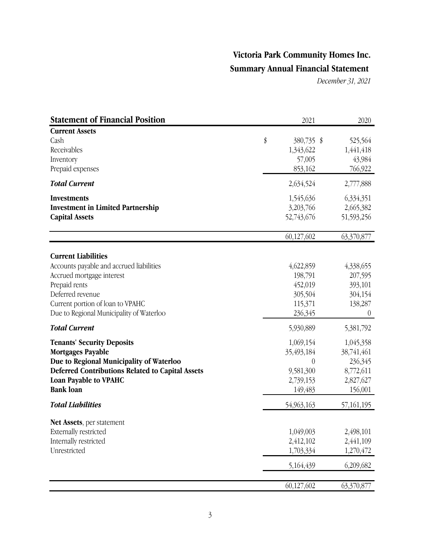*December 31, 2021*

| <b>Statement of Financial Position</b>                                                                                                                                                                                   | 2021                                                                           | 2020                                                                    |
|--------------------------------------------------------------------------------------------------------------------------------------------------------------------------------------------------------------------------|--------------------------------------------------------------------------------|-------------------------------------------------------------------------|
| <b>Current Assets</b><br>Cash<br>Receivables<br>Inventory<br>Prepaid expenses                                                                                                                                            | \$<br>380,735 \$<br>1,343,622<br>57,005<br>853,162                             | 525,564<br>1,441,418<br>43,984<br>766,922                               |
| <b>Total Current</b>                                                                                                                                                                                                     | 2,634,524                                                                      | 2,777,888                                                               |
| <b>Investments</b><br><b>Investment in Limited Partnership</b><br><b>Capital Assets</b>                                                                                                                                  | 1,545,636<br>3,203,766<br>52,743,676                                           | 6,334,351<br>2,665,382<br>51,593,256                                    |
|                                                                                                                                                                                                                          | 60,127,602                                                                     | 63,370,877                                                              |
| <b>Current Liabilities</b><br>Accounts payable and accrued liabilities<br>Accrued mortgage interest<br>Prepaid rents<br>Deferred revenue<br>Current portion of loan to VPAHC<br>Due to Regional Municipality of Waterloo | 4,622,859<br>198,791<br>452,019<br>305,504<br>115,371<br>236,345               | 4,338,655<br>207,595<br>393,101<br>304,154<br>138,287<br>$\theta$       |
| <b>Total Current</b>                                                                                                                                                                                                     | 5,930,889                                                                      | 5,381,792                                                               |
| <b>Tenants' Security Deposits</b><br><b>Mortgages Payable</b><br>Due to Regional Municipality of Waterloo<br><b>Deferred Contributions Related to Capital Assets</b><br><b>Loan Payable to VPAHC</b><br><b>Bank loan</b> | 1,069,154<br>35,493,184<br>$\overline{0}$<br>9,581,300<br>2,739,153<br>149,483 | 1,045,358<br>38,741,461<br>236,345<br>8,772,611<br>2,827,627<br>156,001 |
| <b>Total Liabilities</b>                                                                                                                                                                                                 | 54,963,163                                                                     | 57,161,195                                                              |
| Net Assets, per statement<br>Externally restricted<br>Internally restricted<br>Unrestricted                                                                                                                              | 1,049,003<br>2,412,102<br>1,703,334<br>5,164,439                               | 2,498,101<br>2,441,109<br>1,270,472<br>6,209,682                        |
|                                                                                                                                                                                                                          | 60,127,602                                                                     | 63,370,877                                                              |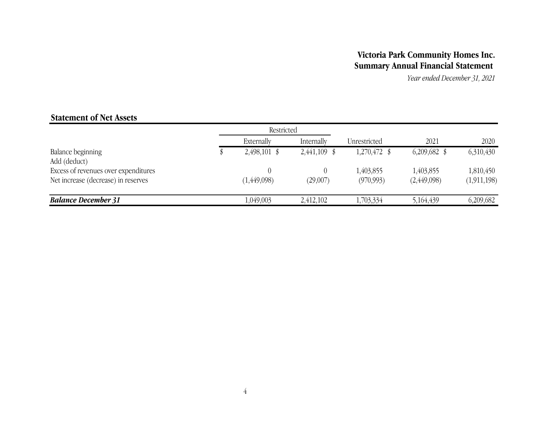*Year ended December 31, 2021*

# **Statement of Net Assets**

|                                                                             | Restricted     |                |                         |                          |                          |
|-----------------------------------------------------------------------------|----------------|----------------|-------------------------|--------------------------|--------------------------|
|                                                                             | Externally     | Internally     | Unrestricted            | 2021                     | 2020                     |
| Balance beginning<br>Add (deduct)                                           | $2,498,101$ \$ | $2,441,109$ \$ | $1,270,472$ \$          | $6,209,682$ \$           | 6,310,430                |
| Excess of revenues over expenditures<br>Net increase (decrease) in reserves | (1, 449, 098)  | (29,007)       | 1,403,855<br>(970, 993) | 1,403,855<br>(2,449,098) | 1,810,450<br>(1,911,198) |
| <b>Balance December 31</b>                                                  | 1,049,003      | 2,412,102      | 1,703,334               | 5,164,439                | 6,209,682                |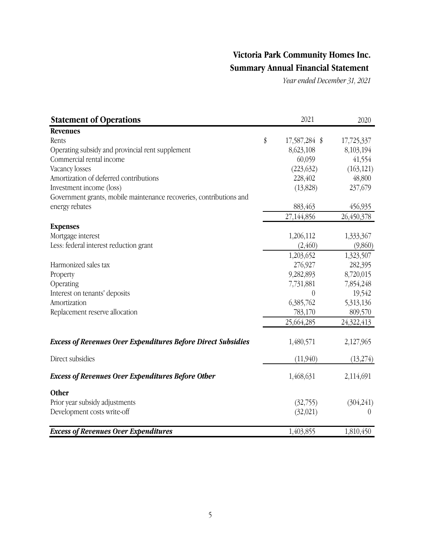*Year ended December 31, 2021*

| <b>Statement of Operations</b>                                      | 2021                | 2020       |
|---------------------------------------------------------------------|---------------------|------------|
| <b>Revenues</b>                                                     |                     |            |
| Rents                                                               | \$<br>17,587,284 \$ | 17,725,337 |
| Operating subsidy and provincial rent supplement                    | 8,623,108           | 8,103,194  |
| Commercial rental income                                            | 60,059              | 41,554     |
| Vacancy losses                                                      | (223, 632)          | (163, 121) |
| Amortization of deferred contributions                              | 228,402             | 48,800     |
| Investment income (loss)                                            | (13,828)            | 237,679    |
| Government grants, mobile maintenance recoveries, contributions and |                     |            |
| energy rebates                                                      | 883,463             | 456,935    |
|                                                                     | 27,144,856          | 26,450,378 |
| <b>Expenses</b>                                                     |                     |            |
| Mortgage interest                                                   | 1,206,112           | 1,333,367  |
| Less: federal interest reduction grant                              | (2, 460)            | (9,860)    |
|                                                                     | 1,203,652           | 1,323,507  |
| Harmonized sales tax                                                | 276,927             | 282,395    |
| Property                                                            | 9,282,893           | 8,720,015  |
| Operating                                                           | 7,731,881           | 7,854,248  |
| Interest on tenants' deposits                                       | $\boldsymbol{0}$    | 19,542     |
| Amortization                                                        | 6,385,762           | 5,313,136  |
| Replacement reserve allocation                                      | 783,170             | 809,570    |
|                                                                     | 25,664,285          | 24,322,413 |
| <b>Excess of Revenues Over Expenditures Before Direct Subsidies</b> | 1,480,571           | 2,127,965  |
| Direct subsidies                                                    | (11,940)            | (13,274)   |
| <b>Excess of Revenues Over Expenditures Before Other</b>            | 1,468,631           | 2,114,691  |
| Other                                                               |                     |            |
| Prior year subsidy adjustments                                      | (32,755)            | (304,241)  |
| Development costs write-off                                         | (32,021)            | $\theta$   |
| <b>Excess of Revenues Over Expenditures</b>                         | 1,403,855           | 1,810,450  |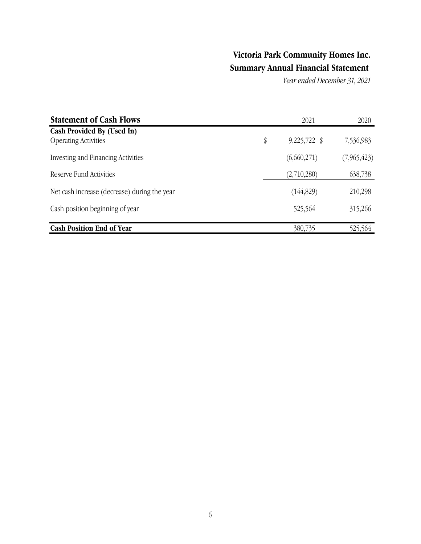*Year ended December 31, 2021*

| <b>Statement of Cash Flows</b>                            | 2021                 | 2020        |
|-----------------------------------------------------------|----------------------|-------------|
| Cash Provided By (Used In)<br><b>Operating Activities</b> | \$<br>$9,225,722$ \$ | 7,536,983   |
| Investing and Financing Activities                        | (6,660,271)          | (7,965,423) |
| Reserve Fund Activities                                   | (2,710,280)          | 638,738     |
| Net cash increase (decrease) during the year              | (144, 829)           | 210,298     |
| Cash position beginning of year                           | 525,564              | 315,266     |
| <b>Cash Position End of Year</b>                          | 380,735              | 525,564     |